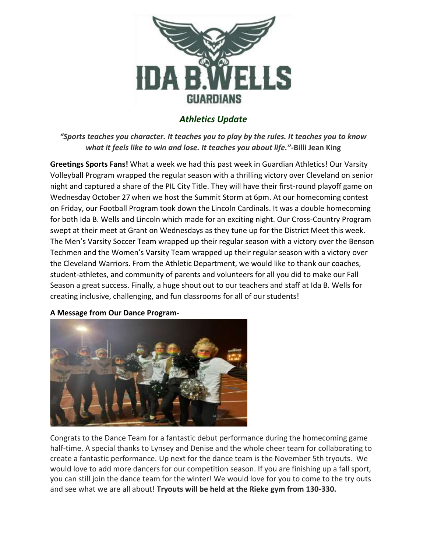

# *Athletics Update*

*"Sports teaches you character. It teaches you to play by the rules. It teaches you to know what it feels like to win and lose. It teaches you about life."-***Billi Jean King**

**Greetings Sports Fans!** What a week we had this past week in Guardian Athletics! Our Varsity Volleyball Program wrapped the regular season with a thrilling victory over Cleveland on senior night and captured a share of the PIL City Title. They will have their first-round playoff game on Wednesday October 27 when we host the Summit Storm at 6pm. At our homecoming contest on Friday, our Football Program took down the Lincoln Cardinals. It was a double homecoming for both Ida B. Wells and Lincoln which made for an exciting night. Our Cross-Country Program swept at their meet at Grant on Wednesdays as they tune up for the District Meet this week. The Men's Varsity Soccer Team wrapped up their regular season with a victory over the Benson Techmen and the Women's Varsity Team wrapped up their regular season with a victory over the Cleveland Warriors. From the Athletic Department, we would like to thank our coaches, student-athletes, and community of parents and volunteers for all you did to make our Fall Season a great success. Finally, a huge shout out to our teachers and staff at Ida B. Wells for creating inclusive, challenging, and fun classrooms for all of our students!



**A Message from Our Dance Program-**

Congrats to the Dance Team for a fantastic debut performance during the homecoming game half-time. A special thanks to Lynsey and Denise and the whole cheer team for collaborating to create a fantastic performance. Up next for the dance team is the November 5th tryouts. We would love to add more dancers for our competition season. If you are finishing up a fall sport, you can still join the dance team for the winter! We would love for you to come to the try outs and see what we are all about! **Tryouts will be held at the Rieke gym from 130-330.**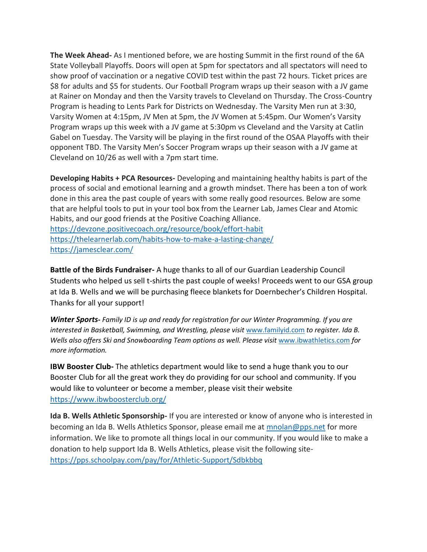**The Week Ahead-** As I mentioned before, we are hosting Summit in the first round of the 6A State Volleyball Playoffs. Doors will open at 5pm for spectators and all spectators will need to show proof of vaccination or a negative COVID test within the past 72 hours. Ticket prices are \$8 for adults and \$5 for students. Our Football Program wraps up their season with a JV game at Rainer on Monday and then the Varsity travels to Cleveland on Thursday. The Cross-Country Program is heading to Lents Park for Districts on Wednesday. The Varsity Men run at 3:30, Varsity Women at 4:15pm, JV Men at 5pm, the JV Women at 5:45pm. Our Women's Varsity Program wraps up this week with a JV game at 5:30pm vs Cleveland and the Varsity at Catlin Gabel on Tuesday. The Varsity will be playing in the first round of the OSAA Playoffs with their opponent TBD. The Varsity Men's Soccer Program wraps up their season with a JV game at Cleveland on 10/26 as well with a 7pm start time.

**Developing Habits + PCA Resources-** Developing and maintaining healthy habits is part of the process of social and emotional learning and a growth mindset. There has been a ton of work done in this area the past couple of years with some really good resources. Below are some that are helpful tools to put in your tool box from the Learner Lab, James Clear and Atomic Habits, and our good friends at the Positive Coaching Alliance. <https://devzone.positivecoach.org/resource/book/effort-habit> <https://thelearnerlab.com/habits-how-to-make-a-lasting-change/> <https://jamesclear.com/>

**Battle of the Birds Fundraiser-** A huge thanks to all of our Guardian Leadership Council Students who helped us sell t-shirts the past couple of weeks! Proceeds went to our GSA group at Ida B. Wells and we will be purchasing fleece blankets for Doernbecher's Children Hospital. Thanks for all your support!

*Winter Sports- Family ID is up and ready for registration for our Winter Programming. If you are interested in Basketball, Swimming, and Wrestling, please visit [www.familyid.com](http://www.familyid.com/) to register. Ida B. Wells also offers Ski and Snowboarding Team options as well. Please visit* [www.ibwathletics.com](http://www.ibwathletics.com/) *for more information.* 

**IBW Booster Club-** The athletics department would like to send a huge thank you to our Booster Club for all the great work they do providing for our school and community. If you would like to volunteer or become a member, please visit their website <https://www.ibwboosterclub.org/>

**Ida B. Wells Athletic Sponsorship-** If you are interested or know of anyone who is interested in becoming an Ida B. Wells Athletics Sponsor, please email me at [mnolan@pps.net](mailto:mnolan@pps.net) for more information. We like to promote all things local in our community. If you would like to make a donation to help support Ida B. Wells Athletics, please visit the following site<https://pps.schoolpay.com/pay/for/Athletic-Support/Sdbkbbq>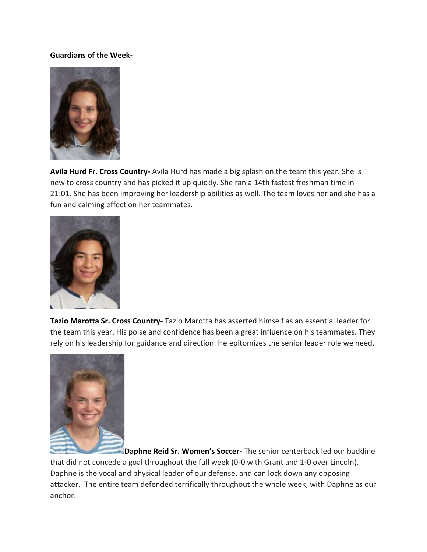#### **Guardians of the Week-**



**Avila Hurd Fr. Cross Country-** Avila Hurd has made a big splash on the team this year. She is new to cross country and has picked it up quickly. She ran a 14th fastest freshman time in 21:01. She has been improving her leadership abilities as well. The team loves her and she has a fun and calming effect on her teammates.



**Tazio Marotta Sr. Cross Country-** Tazio Marotta has asserted himself as an essential leader for the team this year. His poise and confidence has been a great influence on his teammates. They rely on his leadership for guidance and direction. He epitomizes the senior leader role we need.



**Daphne Reid Sr. Women's Soccer**- The senior centerback led our backline that did not concede a goal throughout the full week (0-0 with Grant and 1-0 over Lincoln). Daphne is the vocal and physical leader of our defense, and can lock down any opposing attacker. The entire team defended terrifically throughout the whole week, with Daphne as our anchor.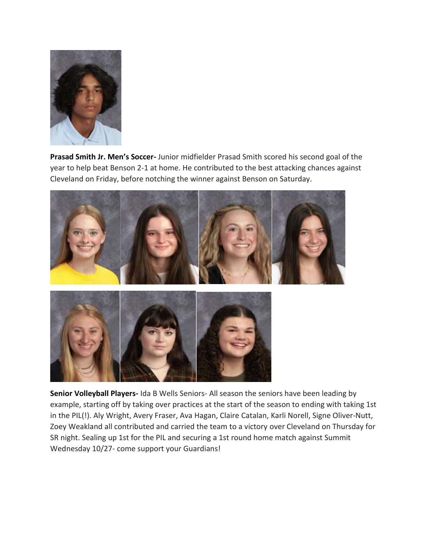

**Prasad Smith Jr. Men's Soccer-** Junior midfielder Prasad Smith scored his second goal of the year to help beat Benson 2-1 at home. He contributed to the best attacking chances against Cleveland on Friday, before notching the winner against Benson on Saturday.



**Senior Volleyball Players-** Ida B Wells Seniors- All season the seniors have been leading by example, starting off by taking over practices at the start of the season to ending with taking 1st in the PIL(!). Aly Wright, Avery Fraser, Ava Hagan, Claire Catalan, Karli Norell, Signe Oliver-Nutt, Zoey Weakland all contributed and carried the team to a victory over Cleveland on Thursday for SR night. Sealing up 1st for the PIL and securing a 1st round home match against Summit Wednesday 10/27- come support your Guardians!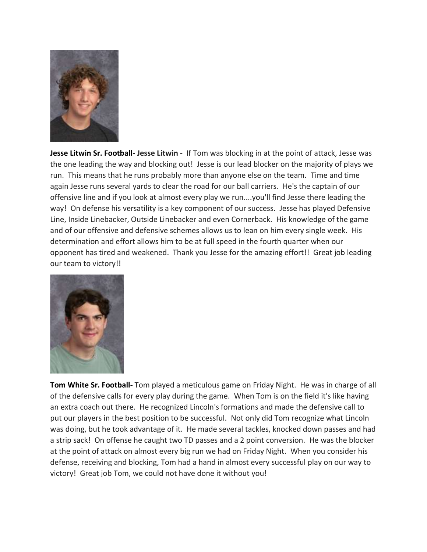

**Jesse Litwin Sr. Football- Jesse Litwin -** If Tom was blocking in at the point of attack, Jesse was the one leading the way and blocking out! Jesse is our lead blocker on the majority of plays we run. This means that he runs probably more than anyone else on the team. Time and time again Jesse runs several yards to clear the road for our ball carriers. He's the captain of our offensive line and if you look at almost every play we run....you'll find Jesse there leading the way! On defense his versatility is a key component of our success. Jesse has played Defensive Line, Inside Linebacker, Outside Linebacker and even Cornerback. His knowledge of the game and of our offensive and defensive schemes allows us to lean on him every single week. His determination and effort allows him to be at full speed in the fourth quarter when our opponent has tired and weakened. Thank you Jesse for the amazing effort!! Great job leading our team to victory!!



**Tom White Sr. Football-** Tom played a meticulous game on Friday Night. He was in charge of all of the defensive calls for every play during the game. When Tom is on the field it's like having an extra coach out there. He recognized Lincoln's formations and made the defensive call to put our players in the best position to be successful. Not only did Tom recognize what Lincoln was doing, but he took advantage of it. He made several tackles, knocked down passes and had a strip sack! On offense he caught two TD passes and a 2 point conversion. He was the blocker at the point of attack on almost every big run we had on Friday Night. When you consider his defense, receiving and blocking, Tom had a hand in almost every successful play on our way to victory! Great job Tom, we could not have done it without you!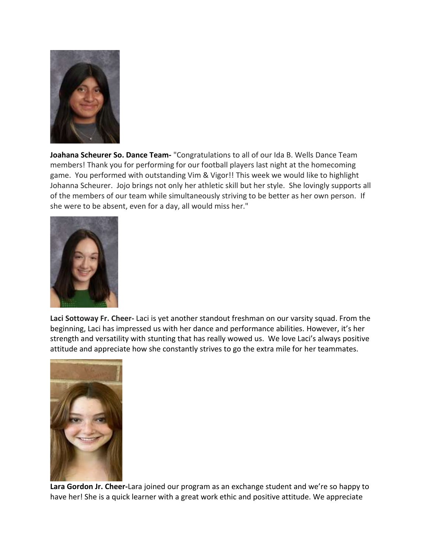

**Joahana Scheurer So. Dance Team-** "Congratulations to all of our Ida B. Wells Dance Team members! Thank you for performing for our football players last night at the homecoming game. You performed with outstanding Vim & Vigor!! This week we would like to highlight Johanna Scheurer. Jojo brings not only her athletic skill but her style. She lovingly supports all of the members of our team while simultaneously striving to be better as her own person. If she were to be absent, even for a day, all would miss her."



**Laci Sottoway Fr. Cheer-** Laci is yet another standout freshman on our varsity squad. From the beginning, Laci has impressed us with her dance and performance abilities. However, it's her strength and versatility with stunting that has really wowed us. We love Laci's always positive attitude and appreciate how she constantly strives to go the extra mile for her teammates.



**Lara Gordon Jr. Cheer-**Lara joined our program as an exchange student and we're so happy to have her! She is a quick learner with a great work ethic and positive attitude. We appreciate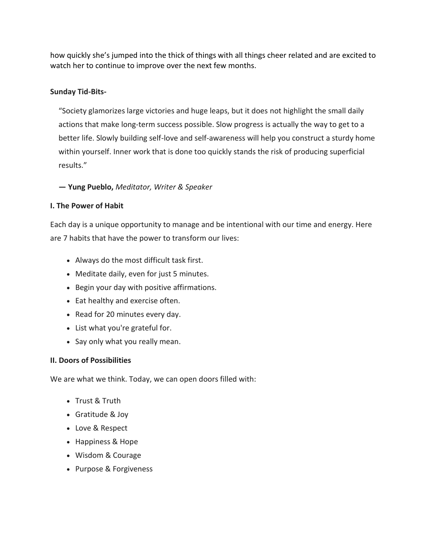how quickly she's jumped into the thick of things with all things cheer related and are excited to watch her to continue to improve over the next few months.

## **Sunday Tid-Bits-**

"Society glamorizes large victories and huge leaps, but it does not highlight the small daily actions that make long-term success possible. Slow progress is actually the way to get to a better life. Slowly building self-love and self-awareness will help you construct a sturdy home within yourself. Inner work that is done too quickly stands the risk of producing superficial results."

### **— Yung Pueblo,** *Meditator, Writer & Speaker*

### **I. The Power of Habit**

Each day is a unique opportunity to manage and be intentional with our time and energy. Here are 7 habits that have the power to transform our lives:

- Always do the most difficult task first.
- Meditate daily, even for just 5 minutes.
- Begin your day with positive affirmations.
- Eat healthy and exercise often.
- Read for 20 minutes every day.
- List what you're grateful for.
- Say only what you really mean.

### **II. Doors of Possibilities**

We are what we think. Today, we can open doors filled with:

- Trust & Truth
- Gratitude & Joy
- Love & Respect
- Happiness & Hope
- Wisdom & Courage
- Purpose & Forgiveness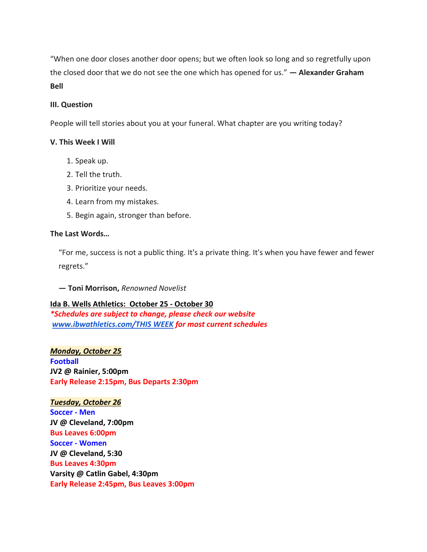"When one door closes another door opens; but we often look so long and so regretfully upon the closed door that we do not see the one which has opened for us." **— Alexander Graham Bell**

#### **III. Question**

People will tell stories about you at your funeral. What chapter are you writing today?

#### **V. This Week I Will**

- 1. Speak up.
- 2. Tell the truth.
- 3. Prioritize your needs.
- 4. Learn from my mistakes.
- 5. Begin again, stronger than before.

#### **The Last Words…**

"For me, success is not a public thing. It's a private thing. It's when you have fewer and fewer regrets."

**— Toni Morrison,** *Renowned Novelist*

### **Ida B. Wells Athletics: October 25 - October 30**

*\*Schedules are subject to change, please check our website [www.ibwathletics.com/THIS WEEK](https://www.ibwathletics.com/page/show/3803298-this-week) for most current schedules*

*Monday, October 25* **Football JV2 @ Rainier, 5:00pm Early Release 2:15pm, Bus Departs 2:30pm**

*Tuesday, October 26*

**Soccer - Men JV @ Cleveland, 7:00pm Bus Leaves 6:00pm Soccer - Women JV @ Cleveland, 5:30 Bus Leaves 4:30pm Varsity @ Catlin Gabel, 4:30pm Early Release 2:45pm, Bus Leaves 3:00pm**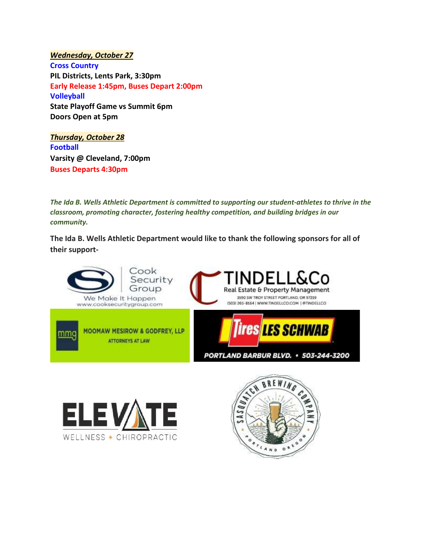*Wednesday, October 27* **Cross Country PIL Districts, Lents Park, 3:30pm Early Release 1:45pm, Buses Depart 2:00pm Volleyball State Playoff Game vs Summit 6pm Doors Open at 5pm**

*Thursday, October 28* **Football Varsity @ Cleveland, 7:00pm Buses Departs 4:30pm**

*The Ida B. Wells Athletic Department is committed to supporting our student-athletes to thrive in the classroom, promoting character, fostering healthy competition, and building bridges in our community.*

**The Ida B. Wells Athletic Department would like to thank the following sponsors for all of their support-**